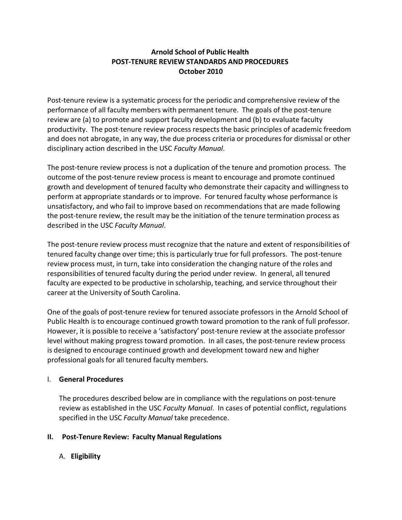# **Arnold School of Public Health POST‐TENURE REVIEW STANDARDS AND PROCEDURES October 2010**

Post-tenure review is a systematic process for the periodic and comprehensive review of the performance of all faculty members with permanent tenure. The goals of the post‐tenure review are (a) to promote and support faculty development and (b) to evaluate faculty productivity. The post‐tenure review process respects the basic principles of academic freedom and does not abrogate, in any way, the due process criteria or procedures for dismissal or other disciplinary action described in the USC *Faculty Manual*.

The post-tenure review process is not a duplication of the tenure and promotion process. The outcome of the post-tenure review process is meant to encourage and promote continued growth and development of tenured faculty who demonstrate their capacity and willingness to perform at appropriate standards or to improve. For tenured faculty whose performance is unsatisfactory, and who fail to improve based on recommendations that are made following the post-tenure review, the result may be the initiation of the tenure termination process as described in the USC *Faculty Manual*.

The post-tenure review process must recognize that the nature and extent of responsibilities of tenured faculty change over time; this is particularly true for full professors. The post-tenure review process must, in turn, take into consideration the changing nature of the roles and responsibilities of tenured faculty during the period under review. In general, all tenured faculty are expected to be productive in scholarship, teaching, and service throughout their career at the University of South Carolina.

One of the goals of post‐tenure review for tenured associate professors in the Arnold School of Public Health is to encourage continued growth toward promotion to the rank of full professor. However, it is possible to receive a 'satisfactory' post‐tenure review at the associate professor level without making progress toward promotion. In all cases, the post-tenure review process is designed to encourage continued growth and development toward new and higher professional goals for all tenured faculty members.

# I. **General Procedures**

The procedures described below are in compliance with the regulations on post‐tenure review as established in the USC *Faculty Manual*. In cases of potential conflict, regulations specified in the USC *Faculty Manual* take precedence.

# **II. Post‐Tenure Review: Faculty Manual Regulations**

# A. **Eligibility**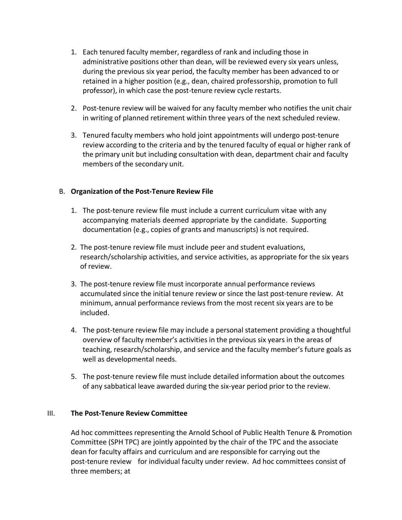- 1. Each tenured faculty member, regardless of rank and including those in administrative positions other than dean, will be reviewed every six years unless, during the previous six year period, the faculty member has been advanced to or retained in a higher position (e.g., dean, chaired professorship, promotion to full professor), in which case the post‐tenure review cycle restarts.
- 2. Post-tenure review will be waived for any faculty member who notifies the unit chair in writing of planned retirement within three years of the next scheduled review.
- 3. Tenured faculty members who hold joint appointments will undergo post‐tenure review according to the criteria and by the tenured faculty of equal or higher rank of the primary unit but including consultation with dean, department chair and faculty members of the secondary unit.

# B. **Organization of the Post‐Tenure Review File**

- 1. The post-tenure review file must include a current curriculum vitae with any accompanying materials deemed appropriate by the candidate. Supporting documentation (e.g., copies of grants and manuscripts) is not required.
- 2. The post‐tenure review file must include peer and student evaluations, research/scholarship activities, and service activities, as appropriate for the six years of review.
- 3. The post‐tenure review file must incorporate annual performance reviews accumulated since the initial tenure review or since the last post‐tenure review. At minimum, annual performance reviews from the most recent six years are to be included.
- 4. The post-tenure review file may include a personal statement providing a thoughtful overview of faculty member's activities in the previous six years in the areas of teaching, research/scholarship, and service and the faculty member's future goals as well as developmental needs.
- 5. The post-tenure review file must include detailed information about the outcomes of any sabbatical leave awarded during the six‐year period prior to the review.

# III. **The Post‐Tenure Review Committee**

Ad hoc committees representing the Arnold School of Public Health Tenure & Promotion Committee (SPH TPC) are jointly appointed by the chair of the TPC and the associate dean for faculty affairs and curriculum and are responsible for carrying out the post-tenure review for individual faculty under review. Ad hoc committees consist of three members; at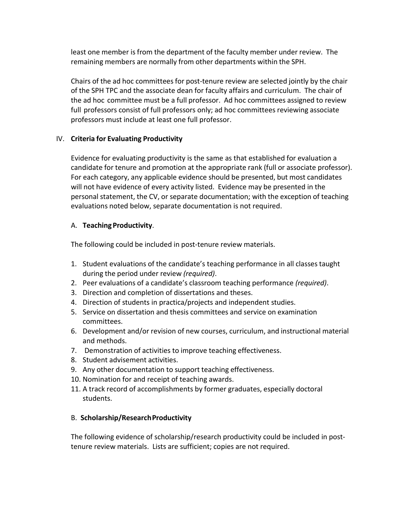least one member is from the department of the faculty member under review. The remaining members are normally from other departments within the SPH.

Chairs of the ad hoc committees for post-tenure review are selected jointly by the chair of the SPH TPC and the associate dean for faculty affairs and curriculum. The chair of the ad hoc committee must be a full professor. Ad hoc committees assigned to review full professors consist of full professors only; ad hoc committees reviewing associate professors must include at least one full professor.

#### IV. **Criteria for Evaluating Productivity**

Evidence for evaluating productivity is the same as that established for evaluation a candidate for tenure and promotion at the appropriate rank (full or associate professor). For each category, any applicable evidence should be presented, but most candidates will not have evidence of every activity listed. Evidence may be presented in the personal statement, the CV, or separate documentation; with the exception of teaching evaluations noted below, separate documentation is not required.

#### A. **Teaching Productivity**.

The following could be included in post-tenure review materials.

- 1. Student evaluations of the candidate's teaching performance in all classes taught during the period under review *(required)*.
- 2. Peer evaluations of a candidate's classroom teaching performance *(required)*.
- 3. Direction and completion of dissertations and theses.
- 4. Direction of students in practica/projects and independent studies.
- 5. Service on dissertation and thesis committees and service on examination committees.
- 6. Development and/or revision of new courses, curriculum, and instructional material and methods.
- 7. Demonstration of activities to improve teaching effectiveness.
- 8. Student advisement activities.
- 9. Any other documentation to support teaching effectiveness.
- 10. Nomination for and receipt of teaching awards.
- 11. A track record of accomplishments by former graduates, especially doctoral students.

# B. **Scholarship/ResearchProductivity**

The following evidence of scholarship/research productivity could be included in post‐ tenure review materials. Lists are sufficient; copies are not required.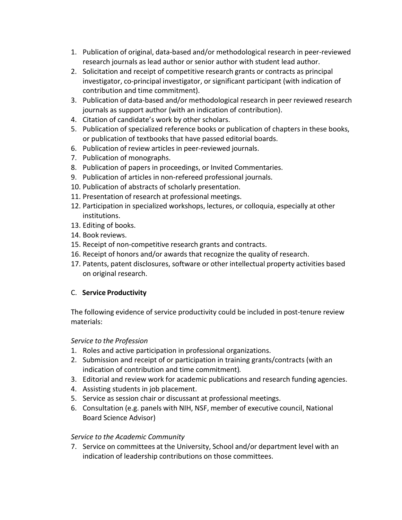- 1. Publication of original, data‐based and/or methodological research in peer‐reviewed research journals as lead author or senior author with student lead author.
- 2. Solicitation and receipt of competitive research grants or contracts as principal investigator, co‐principal investigator, or significant participant (with indication of contribution and time commitment).
- 3. Publication of data‐based and/or methodological research in peer reviewed research journals as support author (with an indication of contribution).
- 4. Citation of candidate's work by other scholars.
- 5. Publication of specialized reference books or publication of chapters in these books, or publication of textbooks that have passed editorial boards.
- 6. Publication of review articles in peer‐reviewed journals.
- 7. Publication of monographs.
- 8. Publication of papers in proceedings, or Invited Commentaries.
- 9. Publication of articles in non-refereed professional journals.
- 10. Publication of abstracts of scholarly presentation.
- 11. Presentation of research at professional meetings.
- 12. Participation in specialized workshops, lectures, or colloquia, especially at other institutions.
- 13. Editing of books.
- 14. Book reviews.
- 15. Receipt of non‐competitive research grants and contracts.
- 16. Receipt of honors and/or awards that recognize the quality of research.
- 17. Patents, patent disclosures, software or other intellectual property activities based on original research.

# C. **Service Productivity**

The following evidence of service productivity could be included in post-tenure review materials:

# *Service to the Profession*

- 1. Roles and active participation in professional organizations.
- 2. Submission and receipt of or participation in training grants/contracts (with an indication of contribution and time commitment)*.*
- 3. Editorial and review work for academic publications and research funding agencies.
- 4. Assisting students in job placement.
- 5. Service as session chair or discussant at professional meetings.
- 6. Consultation (e.g. panels with NIH, NSF, member of executive council, National Board Science Advisor)

# *Service to the Academic Community*

7. Service on committees at the University, School and/or department level with an indication of leadership contributions on those committees.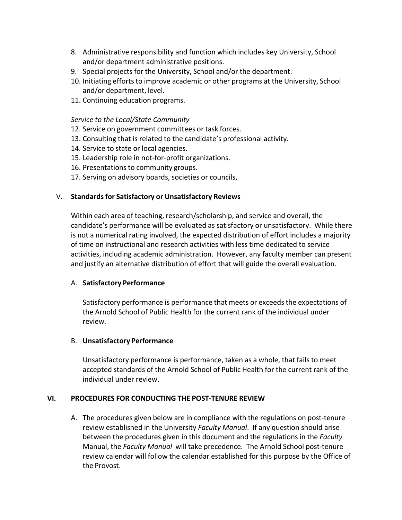- 8. Administrative responsibility and function which includes key University, School and/or department administrative positions.
- 9. Special projects for the University, School and/or the department.
- 10. Initiating efforts to improve academic or other programs at the University, School and/or department, level.
- 11. Continuing education programs.

#### *Service to the Local/State Community*

- 12. Service on government committees or task forces.
- 13. Consulting that is related to the candidate's professional activity.
- 14. Service to state or local agencies.
- 15. Leadership role in not‐for‐profit organizations.
- 16. Presentations to community groups.
- 17. Serving on advisory boards, societies or councils,

#### V. **Standardsfor Satisfactory or Unsatisfactory Reviews**

Within each area of teaching, research/scholarship, and service and overall, the candidate's performance will be evaluated as satisfactory or unsatisfactory. While there is not a numerical rating involved, the expected distribution of effort includes a majority of time on instructional and research activities with less time dedicated to service activities, including academic administration. However, any faculty member can present and justify an alternative distribution of effort that will guide the overall evaluation.

#### A. **Satisfactory Performance**

Satisfactory performance is performance that meets or exceedsthe expectations of the Arnold School of Public Health for the current rank of the individual under review.

#### B. **Unsatisfactory Performance**

Unsatisfactory performance is performance, taken as a whole, that fails to meet accepted standards of the Arnold School of Public Health for the current rank of the individual under review.

#### **VI. PROCEDURES FOR CONDUCTING THE POST‐TENURE REVIEW**

A. The procedures given below are in compliance with the regulations on post-tenure review established in the University *Faculty Manual*. If any question should arise between the procedures given in this document and the regulations in the *Faculty* Manual, the *Faculty Manual* will take precedence. The Arnold School post‐tenure review calendar will follow the calendar established for this purpose by the Office of the Provost.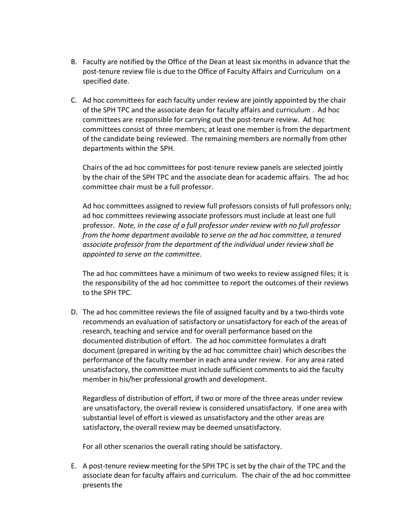- B. Faculty are notified by the Office of the Dean at least six months in advance that the post-tenure review file is due to the Office of Faculty Affairs and Curriculum on a specified date.
- C. Ad hoc committees for each faculty under review are jointly appointed by the chair of the SPH TPC and the associate dean for faculty affairs and curriculum . Ad hoc committees are responsible for carrying out the post-tenure review. Ad hoc committees consist of three members; at least one member is from the department of the candidate being reviewed. The remaining members are normally from other departments within the SPH.

Chairs of the ad hoc committees for post‐tenure review panels are selected jointly by the chair of the SPH TPC and the associate dean for academic affairs. The ad hoc committee chair must be a full professor.

Ad hoc committees assigned to review full professors consists of full professors only; ad hoc committees reviewing associate professors must include at least one full professor. *Note, in the case of a full professor under review with no full professor from the home department available to serve on the ad hoc committee, a tenured associate professor from the department of the individual under review shall be appointed to serve on the committee.*

The ad hoc committees have a minimum of two weeks to review assigned files; it is the responsibility of the ad hoc committee to report the outcomes of their reviews to the SPH TPC.

D. The ad hoc committee reviews the file of assigned faculty and by a two‐thirds vote recommends an evaluation of satisfactory or unsatisfactory for each of the areas of research, teaching and service and for overall performance based on the documented distribution of effort. The ad hoc committee formulates a draft document (prepared in writing by the ad hoc committee chair) which describes the performance of the faculty member in each area under review. For any area rated unsatisfactory, the committee must include sufficient comments to aid the faculty member in his/her professional growth and development.

Regardless of distribution of effort, if two or more of the three areas under review are unsatisfactory, the overall review is considered unsatisfactory. If one area with substantial level of effort is viewed as unsatisfactory and the other areas are satisfactory, the overall review may be deemed unsatisfactory.

For all other scenarios the overall rating should be satisfactory.

E. A post-tenure review meeting for the SPH TPC is set by the chair of the TPC and the associate dean for faculty affairs and curriculum. The chair of the ad hoc committee presents the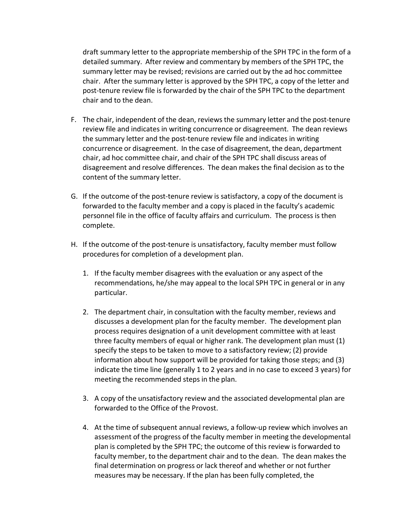draft summary letter to the appropriate membership of the SPH TPC in the form of a detailed summary. After review and commentary by members of the SPH TPC, the summary letter may be revised; revisions are carried out by the ad hoc committee chair. After the summary letter is approved by the SPH TPC, a copy of the letter and post-tenure review file is forwarded by the chair of the SPH TPC to the department chair and to the dean.

- F. The chair, independent of the dean, reviews the summary letter and the post-tenure review file and indicates in writing concurrence or disagreement. The dean reviews the summary letter and the post‐tenure review file and indicates in writing concurrence or disagreement. In the case of disagreement, the dean, department chair, ad hoc committee chair, and chair of the SPH TPC shall discuss areas of disagreement and resolve differences. The dean makes the final decision as to the content of the summary letter.
- G. If the outcome of the post-tenure review is satisfactory, a copy of the document is forwarded to the faculty member and a copy is placed in the faculty's academic personnel file in the office of faculty affairs and curriculum. The process is then complete.
- H. If the outcome of the post-tenure is unsatisfactory, faculty member must follow procedures for completion of a development plan.
	- 1. If the faculty member disagrees with the evaluation or any aspect of the recommendations, he/she may appeal to the local SPH TPC in general or in any particular.
	- 2. The department chair, in consultation with the faculty member, reviews and discusses a development plan for the faculty member. The development plan process requires designation of a unit development committee with at least three faculty members of equal or higher rank. The development plan must (1) specify the steps to be taken to move to a satisfactory review; (2) provide information about how support will be provided for taking those steps; and (3) indicate the time line (generally 1 to 2 years and in no case to exceed 3 years) for meeting the recommended steps in the plan.
	- 3. A copy of the unsatisfactory review and the associated developmental plan are forwarded to the Office of the Provost.
	- 4. At the time of subsequent annual reviews, a follow‐up review which involves an assessment of the progress of the faculty member in meeting the developmental plan is completed by the SPH TPC; the outcome of this review is forwarded to faculty member, to the department chair and to the dean. The dean makes the final determination on progress or lack thereof and whether or not further measures may be necessary. If the plan has been fully completed, the